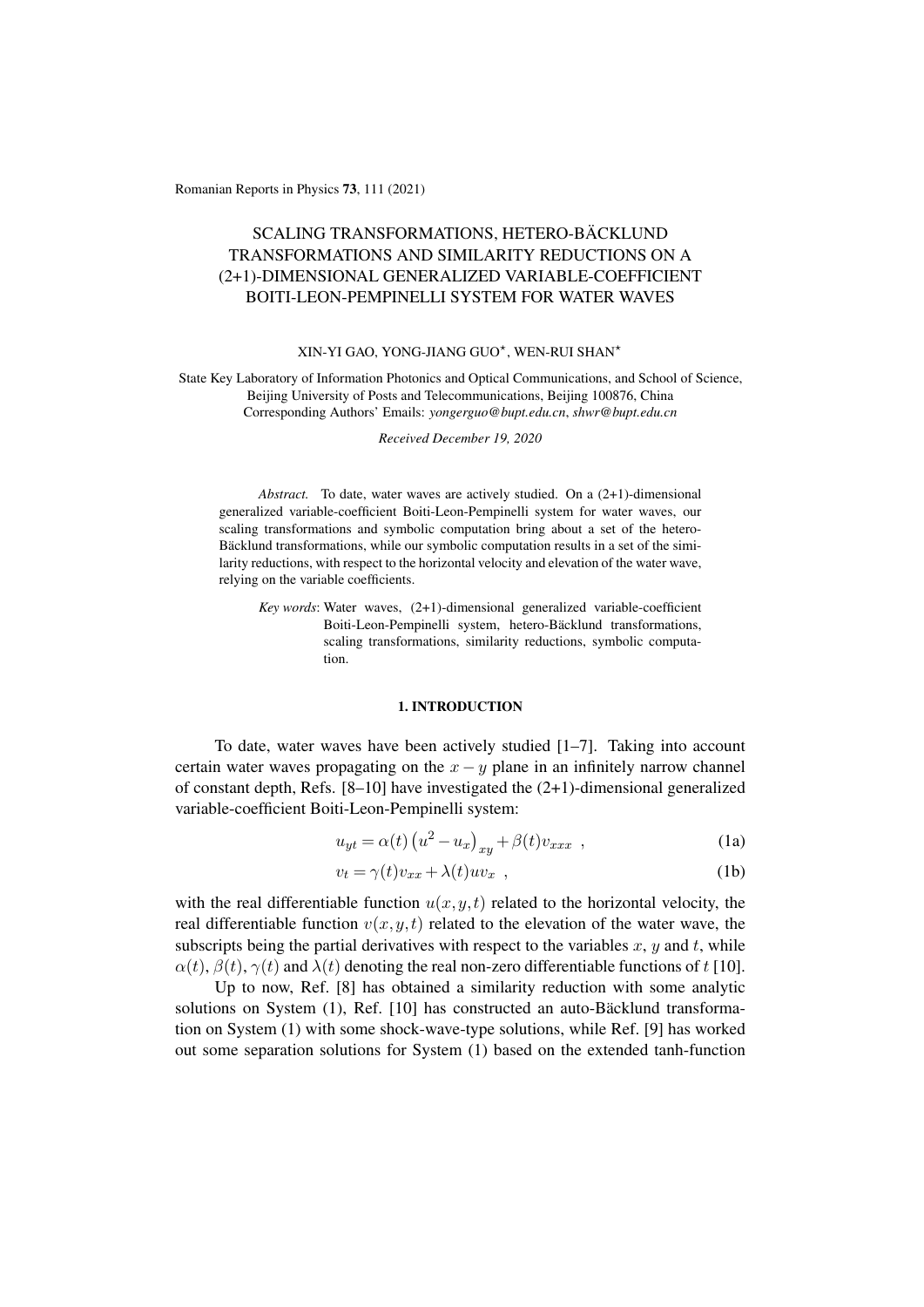Romanian Reports in Physics 73, 111 (2021)

# SCALING TRANSFORMATIONS, HETERO-BÄCKLUND TRANSFORMATIONS AND SIMILARITY REDUCTIONS ON A (2+1)-DIMENSIONAL GENERALIZED VARIABLE-COEFFICIENT BOITI-LEON-PEMPINELLI SYSTEM FOR WATER WAVES

#### XIN-YI GAO, YONG-JIANG GUO<sup>\*</sup>, WEN-RUI SHAN<sup>\*</sup>

State Key Laboratory of Information Photonics and Optical Communications, and School of Science, Beijing University of Posts and Telecommunications, Beijing 100876, China Corresponding Authors' Emails: *yongerguo@bupt.edu.cn*, *shwr@bupt.edu.cn*

*Received December 19, 2020*

*Abstract.* To date, water waves are actively studied. On a (2+1)-dimensional generalized variable-coefficient Boiti-Leon-Pempinelli system for water waves, our scaling transformations and symbolic computation bring about a set of the hetero-Bäcklund transformations, while our symbolic computation results in a set of the similarity reductions, with respect to the horizontal velocity and elevation of the water wave, relying on the variable coefficients.

*Key words*: Water waves, (2+1)-dimensional generalized variable-coefficient Boiti-Leon-Pempinelli system, hetero-Bäcklund transformations, scaling transformations, similarity reductions, symbolic computation.

# 1. INTRODUCTION

To date, water waves have been actively studied [1–7]. Taking into account certain water waves propagating on the  $x - y$  plane in an infinitely narrow channel of constant depth, Refs. [8–10] have investigated the (2+1)-dimensional generalized variable-coefficient Boiti-Leon-Pempinelli system:

$$
u_{yt} = \alpha(t) \left( u^2 - u_x \right)_{xy} + \beta(t) v_{xxx} , \qquad (1a)
$$

$$
v_t = \gamma(t)v_{xx} + \lambda(t)uv_x \t{1b}
$$

with the real differentiable function  $u(x, y, t)$  related to the horizontal velocity, the real differentiable function  $v(x, y, t)$  related to the elevation of the water wave, the subscripts being the partial derivatives with respect to the variables  $x, y$  and  $t$ , while  $\alpha(t)$ ,  $\beta(t)$ ,  $\gamma(t)$  and  $\lambda(t)$  denoting the real non-zero differentiable functions of t [10].

Up to now, Ref. [8] has obtained a similarity reduction with some analytic solutions on System  $(1)$ , Ref.  $[10]$  has constructed an auto-Bäcklund transformation on System (1) with some shock-wave-type solutions, while Ref. [9] has worked out some separation solutions for System (1) based on the extended tanh-function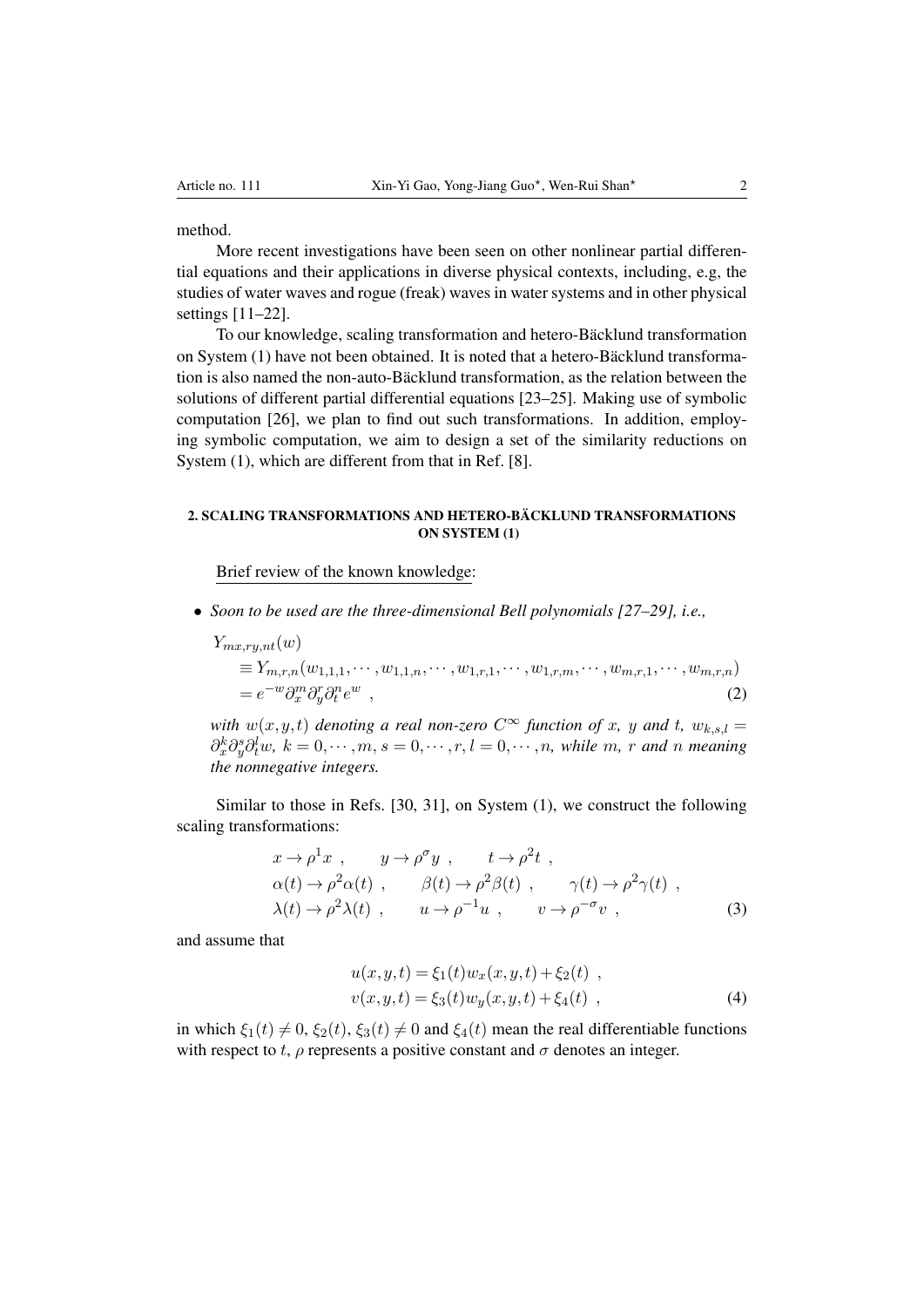### method.

More recent investigations have been seen on other nonlinear partial differential equations and their applications in diverse physical contexts, including, e.g, the studies of water waves and rogue (freak) waves in water systems and in other physical settings [11–22].

To our knowledge, scaling transformation and hetero-Bäcklund transformation on System  $(1)$  have not been obtained. It is noted that a hetero-Bäcklund transformation is also named the non-auto-Bäcklund transformation, as the relation between the solutions of different partial differential equations [23–25]. Making use of symbolic computation [26], we plan to find out such transformations. In addition, employing symbolic computation, we aim to design a set of the similarity reductions on System (1), which are different from that in Ref. [8].

# 2. SCALING TRANSFORMATIONS AND HETERO-BÄCKLUND TRANSFORMATIONS ON SYSTEM (1)

Brief review of the known knowledge:

*• Soon to be used are the three-dimensional Bell polynomials [27–29], i.e.,*

$$
Y_{mx,ry,nt}(w)
$$
  
\n
$$
\equiv Y_{m,r,n}(w_{1,1,1},\cdots,w_{1,1,n},\cdots,w_{1,r,1},\cdots,w_{1,r,m},\cdots,w_{m,r,1},\cdots,w_{m,r,n})
$$
  
\n
$$
= e^{-w} \partial_x^m \partial_y^r \partial_t^n e^w ,
$$
\n(2)

*with*  $w(x, y, t)$  *denoting a real non-zero*  $C^{\infty}$  *function of x, y and t,*  $w_{k, s, l} =$  $\partial_x^k \partial_y^s \partial_t^l w$ ,  $k = 0, \dots, m$ ,  $s = 0, \dots, r$ ,  $l = 0, \dots, n$ , while m, r and n meaning *the nonnegative integers.*

Similar to those in Refs. [30, 31], on System (1), we construct the following scaling transformations:

$$
x \to \rho^1 x , \qquad y \to \rho^{\sigma} y , \qquad t \to \rho^2 t ,
$$
  
\n
$$
\alpha(t) \to \rho^2 \alpha(t) , \qquad \beta(t) \to \rho^2 \beta(t) , \qquad \gamma(t) \to \rho^2 \gamma(t) ,
$$
  
\n
$$
\lambda(t) \to \rho^2 \lambda(t) , \qquad u \to \rho^{-1} u , \qquad v \to \rho^{-\sigma} v ,
$$
\n(3)

and assume that

$$
u(x, y, t) = \xi_1(t)w_x(x, y, t) + \xi_2(t) ,
$$
  
\n
$$
v(x, y, t) = \xi_3(t)w_y(x, y, t) + \xi_4(t) ,
$$
 (4)

in which  $\xi_1(t) \neq 0$ ,  $\xi_2(t)$ ,  $\xi_3(t) \neq 0$  and  $\xi_4(t)$  mean the real differentiable functions with respect to *t*,  $\rho$  represents a positive constant and  $\sigma$  denotes an integer.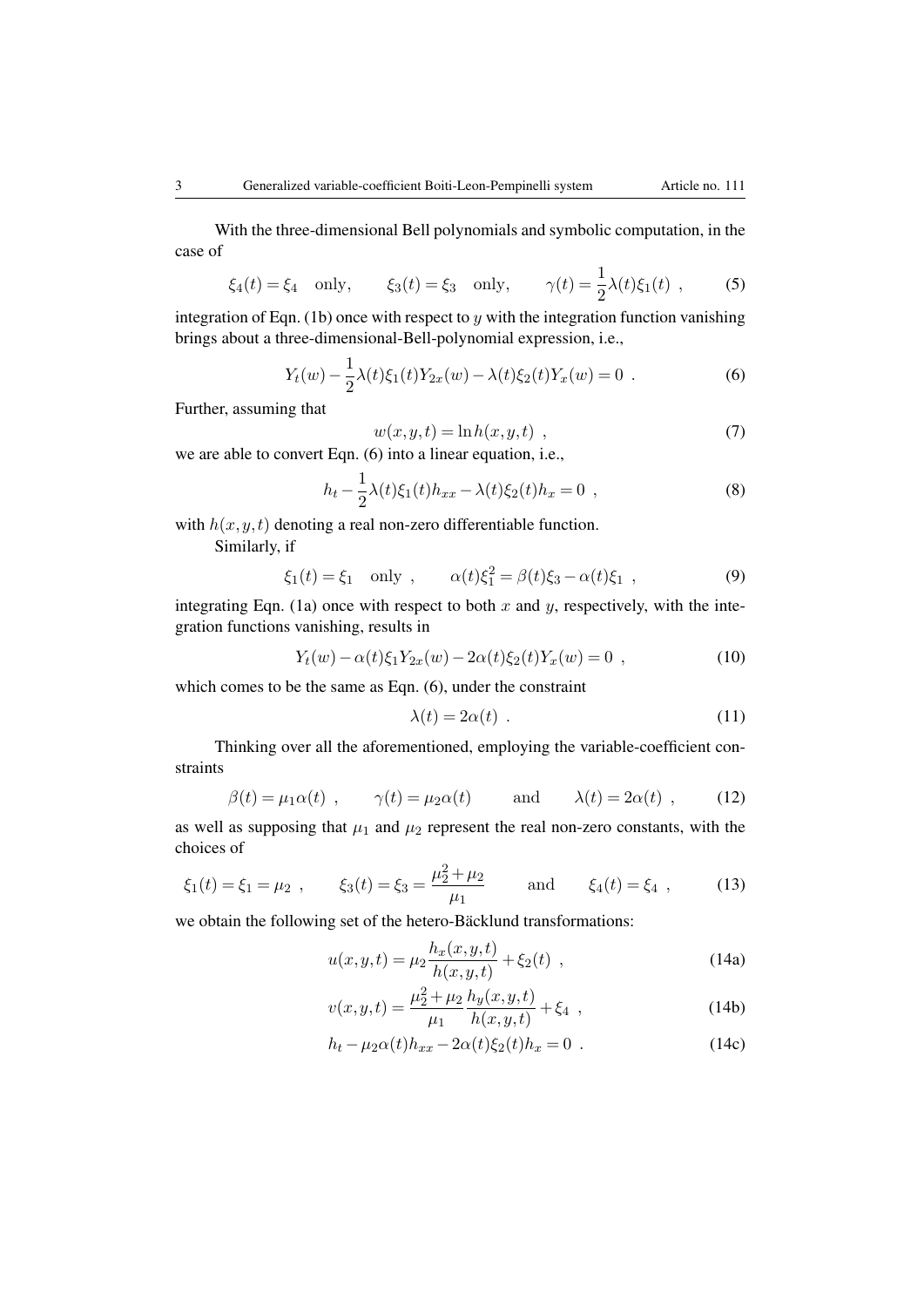With the three-dimensional Bell polynomials and symbolic computation, in the case of

$$
\xi_4(t) = \xi_4
$$
 only,  $\xi_3(t) = \xi_3$  only,  $\gamma(t) = \frac{1}{2}\lambda(t)\xi_1(t)$ , (5)

integration of Eqn. (1b) once with respect to *y* with the integration function vanishing brings about a three-dimensional-Bell-polynomial expression, i.e.,

$$
Y_t(w) - \frac{1}{2}\lambda(t)\xi_1(t)Y_{2x}(w) - \lambda(t)\xi_2(t)Y_x(w) = 0.
$$
 (6)

Further, assuming that

$$
w(x, y, t) = \ln h(x, y, t) \tag{7}
$$

we are able to convert Eqn. (6) into a linear equation, i.e.,

$$
h_t - \frac{1}{2}\lambda(t)\xi_1(t)h_{xx} - \lambda(t)\xi_2(t)h_x = 0 \t , \t\t(8)
$$

with  $h(x, y, t)$  denoting a real non-zero differentiable function. Similarly, if

$$
\xi_1(t) = \xi_1
$$
 only ,  $\alpha(t)\xi_1^2 = \beta(t)\xi_3 - \alpha(t)\xi_1$ , (9)

integrating Eqn. (1a) once with respect to both  $x$  and  $y$ , respectively, with the integration functions vanishing, results in

$$
Y_t(w) - \alpha(t)\xi_1 Y_{2x}(w) - 2\alpha(t)\xi_2(t)Y_x(w) = 0 , \qquad (10)
$$

which comes to be the same as Eqn. (6), under the constraint

$$
\lambda(t) = 2\alpha(t) \tag{11}
$$

Thinking over all the aforementioned, employing the variable-coefficient constraints

$$
\beta(t) = \mu_1 \alpha(t) , \qquad \gamma(t) = \mu_2 \alpha(t) \qquad \text{and} \qquad \lambda(t) = 2\alpha(t) , \qquad (12)
$$

as well as supposing that  $\mu_1$  and  $\mu_2$  represent the real non-zero constants, with the choices of

$$
\xi_1(t) = \xi_1 = \mu_2
$$
,  $\xi_3(t) = \xi_3 = \frac{\mu_2^2 + \mu_2}{\mu_1}$  and  $\xi_4(t) = \xi_4$ , (13)

we obtain the following set of the hetero-Bäcklund transformations:

$$
u(x,y,t) = \mu_2 \frac{h_x(x,y,t)}{h(x,y,t)} + \xi_2(t) ,
$$
\n(14a)

$$
v(x,y,t) = \frac{\mu_2^2 + \mu_2}{\mu_1} \frac{h_y(x,y,t)}{h(x,y,t)} + \xi_4 \tag{14b}
$$

$$
h_t - \mu_2 \alpha(t) h_{xx} - 2\alpha(t) \xi_2(t) h_x = 0
$$
 (14c)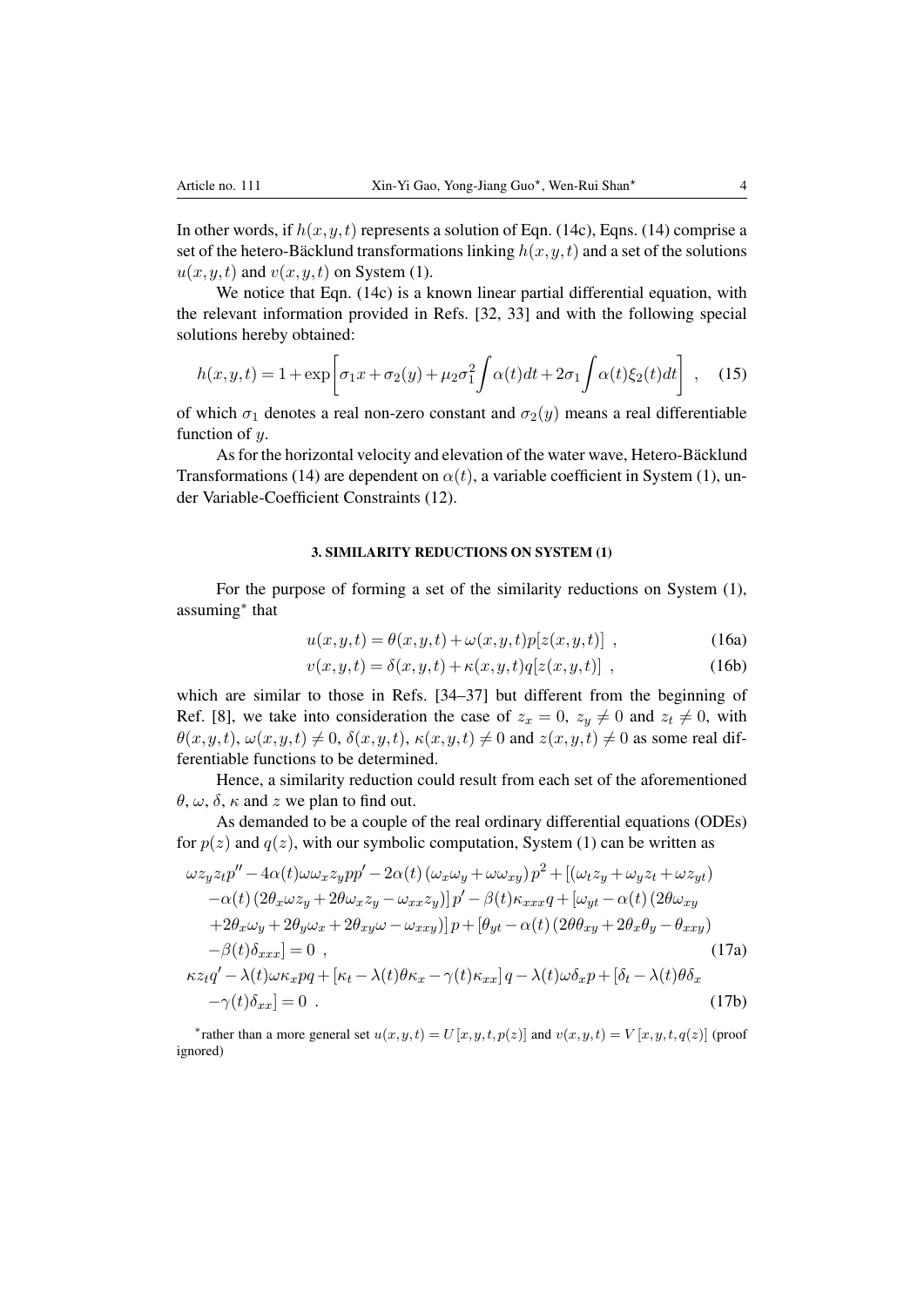In other words, if  $h(x, y, t)$  represents a solution of Eqn. (14c), Eqns. (14) comprise a set of the hetero-Bäcklund transformations linking  $h(x, y, t)$  and a set of the solutions  $u(x, y, t)$  and  $v(x, y, t)$  on System (1).

We notice that Eqn. (14c) is a known linear partial differential equation, with the relevant information provided in Refs. [32, 33] and with the following special solutions hereby obtained:

$$
h(x,y,t) = 1 + \exp\left[\sigma_1 x + \sigma_2(y) + \mu_2 \sigma_1^2 \int \alpha(t) dt + 2\sigma_1 \int \alpha(t) \xi_2(t) dt\right], \quad (15)
$$

of which  $\sigma_1$  denotes a real non-zero constant and  $\sigma_2(y)$  means a real differentiable function of *y*.

As for the horizontal velocity and elevation of the water wave, Hetero-Bäcklund Transformations (14) are dependent on  $\alpha(t)$ , a variable coefficient in System (1), under Variable-Coefficient Constraints (12).

## 3. SIMILARITY REDUCTIONS ON SYSTEM (1)

For the purpose of forming a set of the similarity reductions on System (1), assuming<sup>\*</sup> that

$$
u(x,y,t) = \theta(x,y,t) + \omega(x,y,t)p[z(x,y,t)] , \qquad (16a)
$$

$$
v(x,y,t) = \delta(x,y,t) + \kappa(x,y,t)q[z(x,y,t)] ,
$$
\n(16b)

which are similar to those in Refs. [34–37] but different from the beginning of Ref. [8], we take into consideration the case of  $z_x = 0$ ,  $z_y \neq 0$  and  $z_t \neq 0$ , with  $\theta(x, y, t), \omega(x, y, t) \neq 0$ ,  $\delta(x, y, t), \kappa(x, y, t) \neq 0$  and  $z(x, y, t) \neq 0$  as some real differentiable functions to be determined.

Hence, a similarity reduction could result from each set of the aforementioned  $\theta$ ,  $\omega$ ,  $\delta$ ,  $\kappa$  and  $z$  we plan to find out.

As demanded to be a couple of the real ordinary differential equations (ODEs) for  $p(z)$  and  $q(z)$ , with our symbolic computation, System (1) can be written as

$$
\omega z_y z_t p'' - 4\alpha(t)\omega \omega_x z_y p p' - 2\alpha(t) (\omega_x \omega_y + \omega \omega_{xy}) p^2 + [(\omega_t z_y + \omega_y z_t + \omega z_{yt})
$$
  
\n
$$
-\alpha(t) (2\theta_x \omega z_y + 2\theta \omega_x z_y - \omega_{xx} z_y)] p' - \beta(t) \kappa_{xxx} q + [\omega_{yt} - \alpha(t) (2\theta \omega_{xy} + 2\theta_x \omega_y + 2\theta_y \omega_x + 2\theta_{xy} \omega - \omega_{xxy})] p + [\theta_{yt} - \alpha(t) (2\theta \theta_{xy} + 2\theta_x \theta_y - \theta_{xxy})
$$
  
\n
$$
-\beta(t) \delta_{xxx}] = 0 , \qquad (17a)
$$
  
\n
$$
\kappa z_t q' - \lambda(t) \omega \kappa_x p q + [\kappa_t - \lambda(t) \theta \kappa_x - \gamma(t) \kappa_{xx}] q - \lambda(t) \omega \delta_x p + [\delta_t - \lambda(t) \theta \delta_x - \gamma(t) \delta_{xx}] = 0 . \qquad (17b)
$$

\* rather than a more general set  $u(x, y, t) = U[x, y, t, p(z)]$  and  $v(x, y, t) = V[x, y, t, q(z)]$  (proof ignored)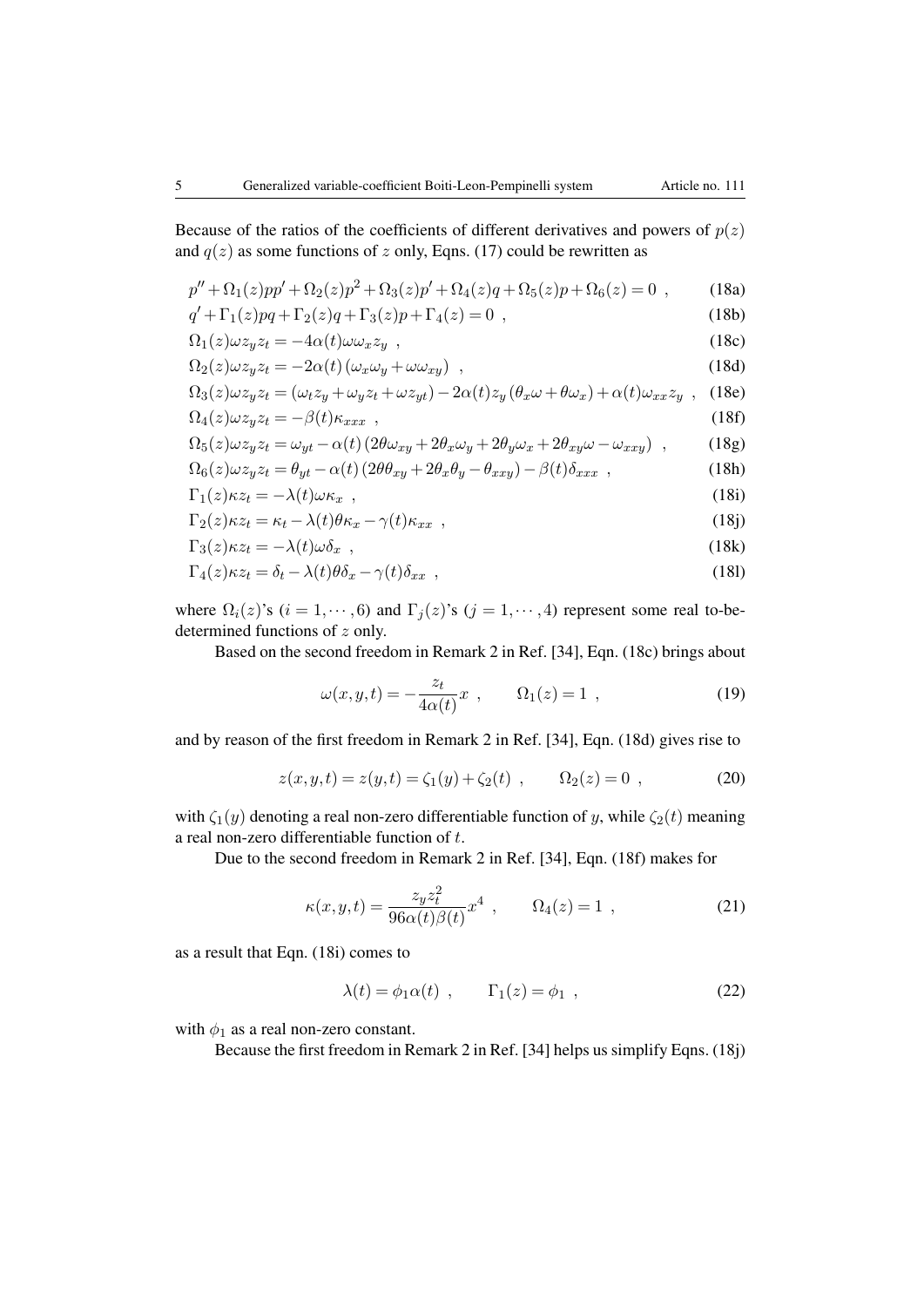Because of the ratios of the coefficients of different derivatives and powers of  $p(z)$ and  $q(z)$  as some functions of *z* only, Eqns. (17) could be rewritten as

$$
p'' + \Omega_1(z)pp' + \Omega_2(z)p^2 + \Omega_3(z)p' + \Omega_4(z)q + \Omega_5(z)p + \Omega_6(z) = 0,
$$
 (18a)

$$
q' + \Gamma_1(z)pq + \Gamma_2(z)q + \Gamma_3(z)p + \Gamma_4(z) = 0,
$$
\n(18b)

$$
\Omega_1(z)\omega z_y z_t = -4\alpha(t)\omega \omega_x z_y \quad , \tag{18c}
$$

$$
\Omega_2(z)\omega z_y z_t = -2\alpha(t) \left(\omega_x \omega_y + \omega \omega_{xy}\right) , \qquad (18d)
$$

$$
\Omega_3(z)\omega z_y z_t = (\omega_t z_y + \omega_y z_t + \omega z_{yt}) - 2\alpha(t)z_y(\theta_x \omega + \theta \omega_x) + \alpha(t)\omega_{xx} z_y ,
$$
 (18e)  

$$
\Omega_4(z)\omega z_y z_t = -\beta(t)\kappa_{xxx} ,
$$

$$
\Omega_5(z)\omega z_y z_t = \omega_{yt} - \alpha(t) \left(2\theta \omega_{xy} + 2\theta_x \omega_y + 2\theta_y \omega_x + 2\theta_{xy} \omega - \omega_{xxy}\right) ,\qquad(18g)
$$

$$
\Omega_6(z)\omega z_y z_t = \theta_{yt} - \alpha(t) \left(2\theta \theta_{xy} + 2\theta_x \theta_y - \theta_{xxy}\right) - \beta(t)\delta_{xxx},\tag{18h}
$$

$$
\Gamma_1(z)\kappa z_t = -\lambda(t)\omega \kappa_x \quad , \tag{18i}
$$

$$
\Gamma_2(z)\kappa z_t = \kappa_t - \lambda(t)\theta\kappa_x - \gamma(t)\kappa_{xx} \quad , \tag{18}
$$

$$
\Gamma_3(z)\kappa z_t = -\lambda(t)\omega \delta_x \quad , \tag{18k}
$$

$$
\Gamma_4(z)\kappa z_t = \delta_t - \lambda(t)\theta \delta_x - \gamma(t)\delta_{xx} , \qquad (18)
$$

where  $\Omega_i(z)$ 's ( $i = 1, \dots, 6$ ) and  $\Gamma_j(z)$ 's ( $j = 1, \dots, 4$ ) represent some real to-bedetermined functions of *z* only.

Based on the second freedom in Remark 2 in Ref. [34], Eqn. (18c) brings about

$$
\omega(x, y, t) = -\frac{z_t}{4\alpha(t)}x \ , \qquad \Omega_1(z) = 1 \ , \tag{19}
$$

and by reason of the first freedom in Remark 2 in Ref. [34], Eqn. (18d) gives rise to

$$
z(x, y, t) = z(y, t) = \zeta_1(y) + \zeta_2(t) , \qquad \Omega_2(z) = 0 , \qquad (20)
$$

with  $\zeta_1(y)$  denoting a real non-zero differentiable function of *y*, while  $\zeta_2(t)$  meaning a real non-zero differentiable function of *t*.

Due to the second freedom in Remark 2 in Ref. [34], Eqn. (18f) makes for

$$
\kappa(x, y, t) = \frac{z_y z_t^2}{96\alpha(t)\beta(t)} x^4 , \qquad \Omega_4(z) = 1 , \qquad (21)
$$

as a result that Eqn. (18i) comes to

$$
\lambda(t) = \phi_1 \alpha(t) , \qquad \Gamma_1(z) = \phi_1 , \qquad (22)
$$

with  $\phi_1$  as a real non-zero constant.

Because the first freedom in Remark 2 in Ref. [34] helps us simplify Eqns. (18j)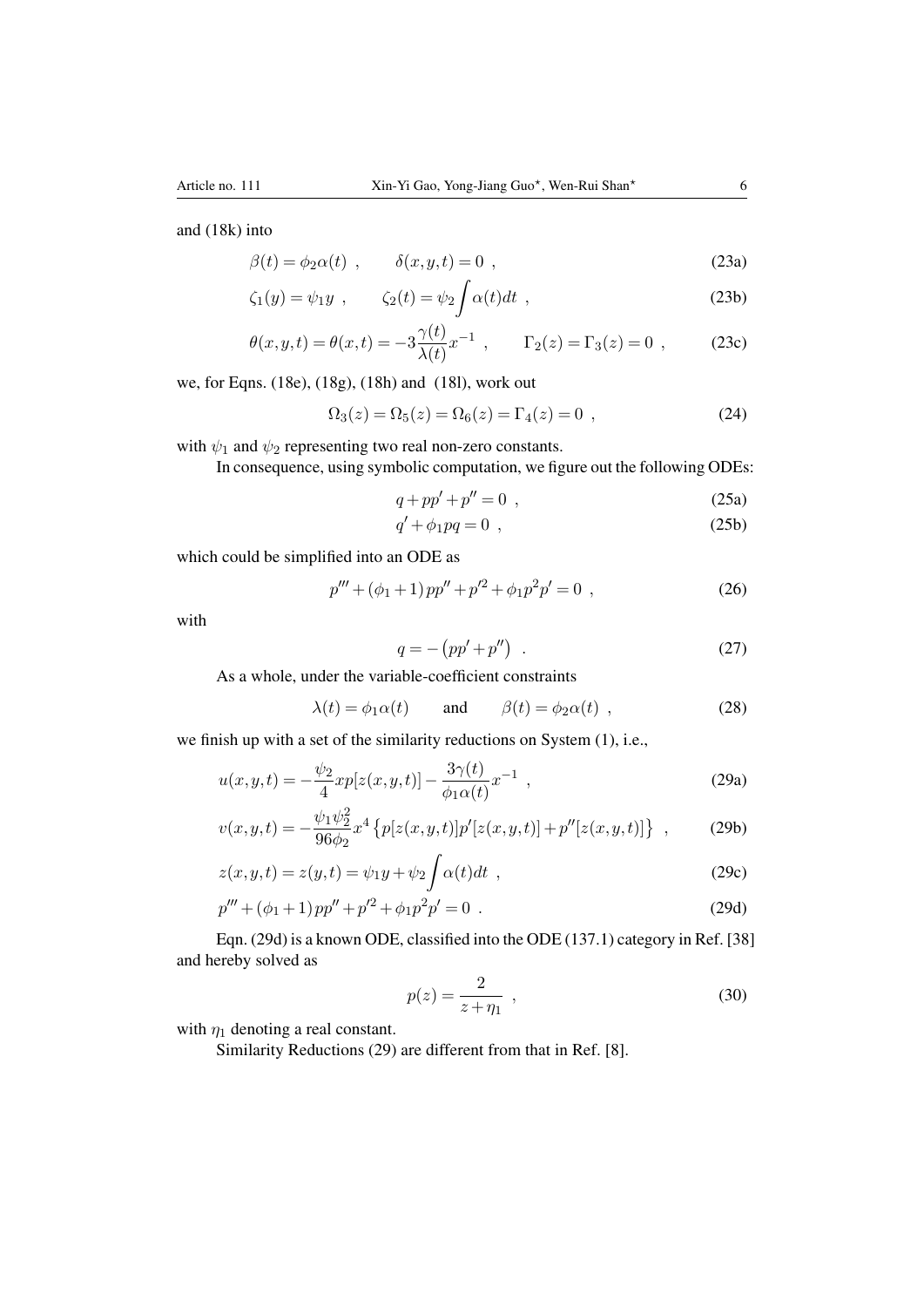$$
\beta(t) = \phi_2 \alpha(t) , \qquad \delta(x, y, t) = 0 , \qquad (23a)
$$

$$
\zeta_1(y) = \psi_1 y \ , \qquad \zeta_2(t) = \psi_2 \int \alpha(t) dt \ , \qquad (23b)
$$

$$
\theta(x, y, t) = \theta(x, t) = -3 \frac{\gamma(t)}{\lambda(t)} x^{-1}, \qquad \Gamma_2(z) = \Gamma_3(z) = 0,
$$
\n(23c)

we, for Eqns. (18e), (18g), (18h) and (18l), work out

$$
\Omega_3(z) = \Omega_5(z) = \Omega_6(z) = \Gamma_4(z) = 0 , \qquad (24)
$$

with  $\psi_1$  and  $\psi_2$  representing two real non-zero constants.

In consequence, using symbolic computation, we figure out the following ODEs:

$$
q + pp' + p'' = 0 \tag{25a}
$$

$$
q' + \phi_1 pq = 0 \tag{25b}
$$

which could be simplified into an ODE as

$$
p''' + (\phi_1 + 1)pp'' + p'^2 + \phi_1 p^2 p' = 0 , \qquad (26)
$$

with

$$
q = -\left(pp' + p''\right) \tag{27}
$$

As a whole, under the variable-coefficient constraints

$$
\lambda(t) = \phi_1 \alpha(t)
$$
 and  $\beta(t) = \phi_2 \alpha(t)$ , (28)

we finish up with a set of the similarity reductions on System (1), i.e.,

$$
u(x,y,t) = -\frac{\psi_2}{4} x p[z(x,y,t)] - \frac{3\gamma(t)}{\phi_1 \alpha(t)} x^{-1} , \qquad (29a)
$$

$$
v(x,y,t) = -\frac{\psi_1 \psi_2^2}{96\phi_2} x^4 \left\{ p[z(x,y,t)] p'[z(x,y,t)] + p''[z(x,y,t)] \right\} ,\qquad (29b)
$$

$$
z(x, y, t) = z(y, t) = \psi_1 y + \psi_2 \int \alpha(t) dt , \qquad (29c)
$$

$$
p''' + (\phi_1 + 1)pp'' + p'^2 + \phi_1p^2p' = 0.
$$
 (29d)

Eqn. (29d) is a known ODE, classified into the ODE (137.1) category in Ref. [38] and hereby solved as

$$
p(z) = \frac{2}{z + \eta_1} \tag{30}
$$

with  $\eta_1$  denoting a real constant.

Similarity Reductions (29) are different from that in Ref. [8].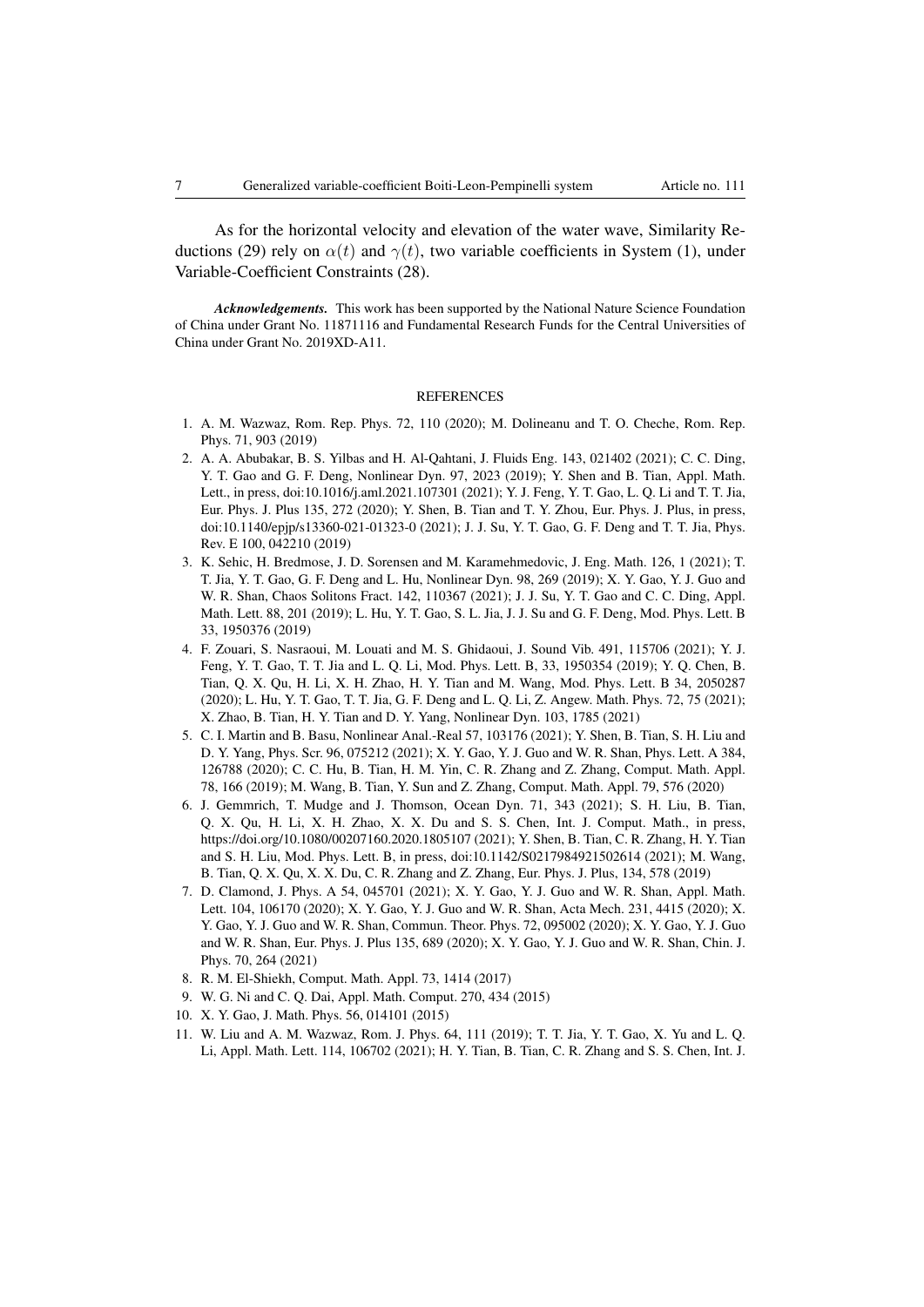As for the horizontal velocity and elevation of the water wave, Similarity Reductions (29) rely on  $\alpha(t)$  and  $\gamma(t)$ , two variable coefficients in System (1), under Variable-Coefficient Constraints (28).

*Acknowledgements.* This work has been supported by the National Nature Science Foundation of China under Grant No. 11871116 and Fundamental Research Funds for the Central Universities of China under Grant No. 2019XD-A11.

#### REFERENCES

- 1. A. M. Wazwaz, Rom. Rep. Phys. 72, 110 (2020); M. Dolineanu and T. O. Cheche, Rom. Rep. Phys. 71, 903 (2019)
- 2. A. A. Abubakar, B. S. Yilbas and H. Al-Qahtani, J. Fluids Eng. 143, 021402 (2021); C. C. Ding, Y. T. Gao and G. F. Deng, Nonlinear Dyn. 97, 2023 (2019); Y. Shen and B. Tian, Appl. Math. Lett., in press, doi:10.1016/j.aml.2021.107301 (2021); Y. J. Feng, Y. T. Gao, L. Q. Li and T. T. Jia, Eur. Phys. J. Plus 135, 272 (2020); Y. Shen, B. Tian and T. Y. Zhou, Eur. Phys. J. Plus, in press, doi:10.1140/epjp/s13360-021-01323-0 (2021); J. J. Su, Y. T. Gao, G. F. Deng and T. T. Jia, Phys. Rev. E 100, 042210 (2019)
- 3. K. Sehic, H. Bredmose, J. D. Sorensen and M. Karamehmedovic, J. Eng. Math. 126, 1 (2021); T. T. Jia, Y. T. Gao, G. F. Deng and L. Hu, Nonlinear Dyn. 98, 269 (2019); X. Y. Gao, Y. J. Guo and W. R. Shan, Chaos Solitons Fract. 142, 110367 (2021); J. J. Su, Y. T. Gao and C. C. Ding, Appl. Math. Lett. 88, 201 (2019); L. Hu, Y. T. Gao, S. L. Jia, J. J. Su and G. F. Deng, Mod. Phys. Lett. B 33, 1950376 (2019)
- 4. F. Zouari, S. Nasraoui, M. Louati and M. S. Ghidaoui, J. Sound Vib. 491, 115706 (2021); Y. J. Feng, Y. T. Gao, T. T. Jia and L. Q. Li, Mod. Phys. Lett. B, 33, 1950354 (2019); Y. Q. Chen, B. Tian, Q. X. Qu, H. Li, X. H. Zhao, H. Y. Tian and M. Wang, Mod. Phys. Lett. B 34, 2050287 (2020); L. Hu, Y. T. Gao, T. T. Jia, G. F. Deng and L. Q. Li, Z. Angew. Math. Phys. 72, 75 (2021); X. Zhao, B. Tian, H. Y. Tian and D. Y. Yang, Nonlinear Dyn. 103, 1785 (2021)
- 5. C. I. Martin and B. Basu, Nonlinear Anal.-Real 57, 103176 (2021); Y. Shen, B. Tian, S. H. Liu and D. Y. Yang, Phys. Scr. 96, 075212 (2021); X. Y. Gao, Y. J. Guo and W. R. Shan, Phys. Lett. A 384, 126788 (2020); C. C. Hu, B. Tian, H. M. Yin, C. R. Zhang and Z. Zhang, Comput. Math. Appl. 78, 166 (2019); M. Wang, B. Tian, Y. Sun and Z. Zhang, Comput. Math. Appl. 79, 576 (2020)
- 6. J. Gemmrich, T. Mudge and J. Thomson, Ocean Dyn. 71, 343 (2021); S. H. Liu, B. Tian, Q. X. Qu, H. Li, X. H. Zhao, X. X. Du and S. S. Chen, Int. J. Comput. Math., in press, https://doi.org/10.1080/00207160.2020.1805107 (2021); Y. Shen, B. Tian, C. R. Zhang, H. Y. Tian and S. H. Liu, Mod. Phys. Lett. B, in press, doi:10.1142/S0217984921502614 (2021); M. Wang, B. Tian, Q. X. Qu, X. X. Du, C. R. Zhang and Z. Zhang, Eur. Phys. J. Plus, 134, 578 (2019)
- 7. D. Clamond, J. Phys. A 54, 045701 (2021); X. Y. Gao, Y. J. Guo and W. R. Shan, Appl. Math. Lett. 104, 106170 (2020); X. Y. Gao, Y. J. Guo and W. R. Shan, Acta Mech. 231, 4415 (2020); X. Y. Gao, Y. J. Guo and W. R. Shan, Commun. Theor. Phys. 72, 095002 (2020); X. Y. Gao, Y. J. Guo and W. R. Shan, Eur. Phys. J. Plus 135, 689 (2020); X. Y. Gao, Y. J. Guo and W. R. Shan, Chin. J. Phys. 70, 264 (2021)
- 8. R. M. El-Shiekh, Comput. Math. Appl. 73, 1414 (2017)
- 9. W. G. Ni and C. Q. Dai, Appl. Math. Comput. 270, 434 (2015)
- 10. X. Y. Gao, J. Math. Phys. 56, 014101 (2015)
- 11. W. Liu and A. M. Wazwaz, Rom. J. Phys. 64, 111 (2019); T. T. Jia, Y. T. Gao, X. Yu and L. Q. Li, Appl. Math. Lett. 114, 106702 (2021); H. Y. Tian, B. Tian, C. R. Zhang and S. S. Chen, Int. J.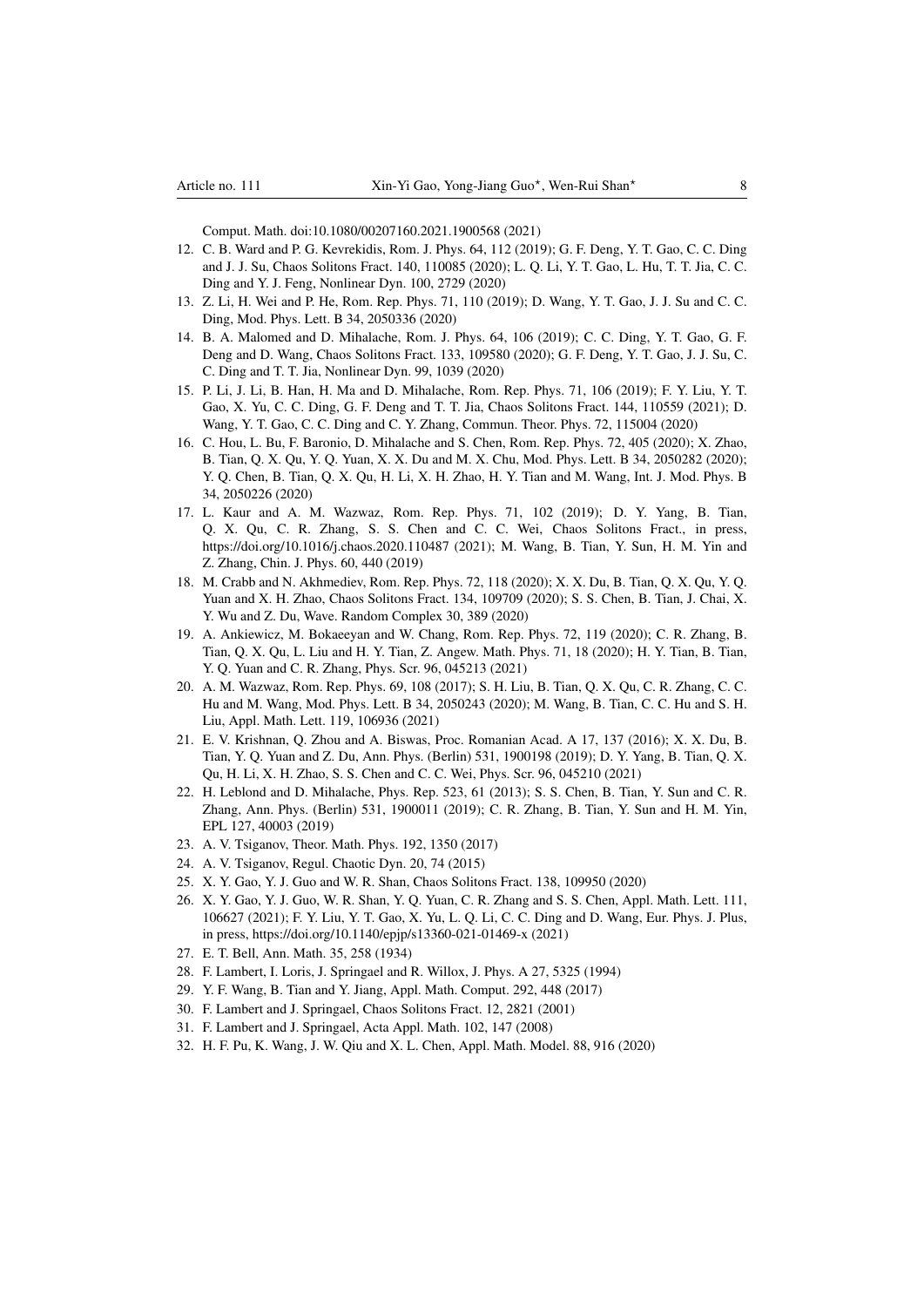Comput. Math. doi:10.1080/00207160.2021.1900568 (2021)

- 12. C. B. Ward and P. G. Kevrekidis, Rom. J. Phys. 64, 112 (2019); G. F. Deng, Y. T. Gao, C. C. Ding and J. J. Su, Chaos Solitons Fract. 140, 110085 (2020); L. Q. Li, Y. T. Gao, L. Hu, T. T. Jia, C. C. Ding and Y. J. Feng, Nonlinear Dyn. 100, 2729 (2020)
- 13. Z. Li, H. Wei and P. He, Rom. Rep. Phys. 71, 110 (2019); D. Wang, Y. T. Gao, J. J. Su and C. C. Ding, Mod. Phys. Lett. B 34, 2050336 (2020)
- 14. B. A. Malomed and D. Mihalache, Rom. J. Phys. 64, 106 (2019); C. C. Ding, Y. T. Gao, G. F. Deng and D. Wang, Chaos Solitons Fract. 133, 109580 (2020); G. F. Deng, Y. T. Gao, J. J. Su, C. C. Ding and T. T. Jia, Nonlinear Dyn. 99, 1039 (2020)
- 15. P. Li, J. Li, B. Han, H. Ma and D. Mihalache, Rom. Rep. Phys. 71, 106 (2019); F. Y. Liu, Y. T. Gao, X. Yu, C. C. Ding, G. F. Deng and T. T. Jia, Chaos Solitons Fract. 144, 110559 (2021); D. Wang, Y. T. Gao, C. C. Ding and C. Y. Zhang, Commun. Theor. Phys. 72, 115004 (2020)
- 16. C. Hou, L. Bu, F. Baronio, D. Mihalache and S. Chen, Rom. Rep. Phys. 72, 405 (2020); X. Zhao, B. Tian, Q. X. Qu, Y. Q. Yuan, X. X. Du and M. X. Chu, Mod. Phys. Lett. B 34, 2050282 (2020); Y. Q. Chen, B. Tian, Q. X. Qu, H. Li, X. H. Zhao, H. Y. Tian and M. Wang, Int. J. Mod. Phys. B 34, 2050226 (2020)
- 17. L. Kaur and A. M. Wazwaz, Rom. Rep. Phys. 71, 102 (2019); D. Y. Yang, B. Tian, Q. X. Qu, C. R. Zhang, S. S. Chen and C. C. Wei, Chaos Solitons Fract., in press, https://doi.org/10.1016/j.chaos.2020.110487 (2021); M. Wang, B. Tian, Y. Sun, H. M. Yin and Z. Zhang, Chin. J. Phys. 60, 440 (2019)
- 18. M. Crabb and N. Akhmediev, Rom. Rep. Phys. 72, 118 (2020); X. X. Du, B. Tian, Q. X. Qu, Y. Q. Yuan and X. H. Zhao, Chaos Solitons Fract. 134, 109709 (2020); S. S. Chen, B. Tian, J. Chai, X. Y. Wu and Z. Du, Wave. Random Complex 30, 389 (2020)
- 19. A. Ankiewicz, M. Bokaeeyan and W. Chang, Rom. Rep. Phys. 72, 119 (2020); C. R. Zhang, B. Tian, Q. X. Qu, L. Liu and H. Y. Tian, Z. Angew. Math. Phys. 71, 18 (2020); H. Y. Tian, B. Tian, Y. Q. Yuan and C. R. Zhang, Phys. Scr. 96, 045213 (2021)
- 20. A. M. Wazwaz, Rom. Rep. Phys. 69, 108 (2017); S. H. Liu, B. Tian, Q. X. Qu, C. R. Zhang, C. C. Hu and M. Wang, Mod. Phys. Lett. B 34, 2050243 (2020); M. Wang, B. Tian, C. C. Hu and S. H. Liu, Appl. Math. Lett. 119, 106936 (2021)
- 21. E. V. Krishnan, Q. Zhou and A. Biswas, Proc. Romanian Acad. A 17, 137 (2016); X. X. Du, B. Tian, Y. Q. Yuan and Z. Du, Ann. Phys. (Berlin) 531, 1900198 (2019); D. Y. Yang, B. Tian, Q. X. Qu, H. Li, X. H. Zhao, S. S. Chen and C. C. Wei, Phys. Scr. 96, 045210 (2021)
- 22. H. Leblond and D. Mihalache, Phys. Rep. 523, 61 (2013); S. S. Chen, B. Tian, Y. Sun and C. R. Zhang, Ann. Phys. (Berlin) 531, 1900011 (2019); C. R. Zhang, B. Tian, Y. Sun and H. M. Yin, EPL 127, 40003 (2019)
- 23. A. V. Tsiganov, Theor. Math. Phys. 192, 1350 (2017)
- 24. A. V. Tsiganov, Regul. Chaotic Dyn. 20, 74 (2015)
- 25. X. Y. Gao, Y. J. Guo and W. R. Shan, Chaos Solitons Fract. 138, 109950 (2020)
- 26. X. Y. Gao, Y. J. Guo, W. R. Shan, Y. Q. Yuan, C. R. Zhang and S. S. Chen, Appl. Math. Lett. 111, 106627 (2021); F. Y. Liu, Y. T. Gao, X. Yu, L. Q. Li, C. C. Ding and D. Wang, Eur. Phys. J. Plus, in press, https://doi.org/10.1140/epjp/s13360-021-01469-x (2021)
- 27. E. T. Bell, Ann. Math. 35, 258 (1934)
- 28. F. Lambert, I. Loris, J. Springael and R. Willox, J. Phys. A 27, 5325 (1994)
- 29. Y. F. Wang, B. Tian and Y. Jiang, Appl. Math. Comput. 292, 448 (2017)
- 30. F. Lambert and J. Springael, Chaos Solitons Fract. 12, 2821 (2001)
- 31. F. Lambert and J. Springael, Acta Appl. Math. 102, 147 (2008)
- 32. H. F. Pu, K. Wang, J. W. Qiu and X. L. Chen, Appl. Math. Model. 88, 916 (2020)